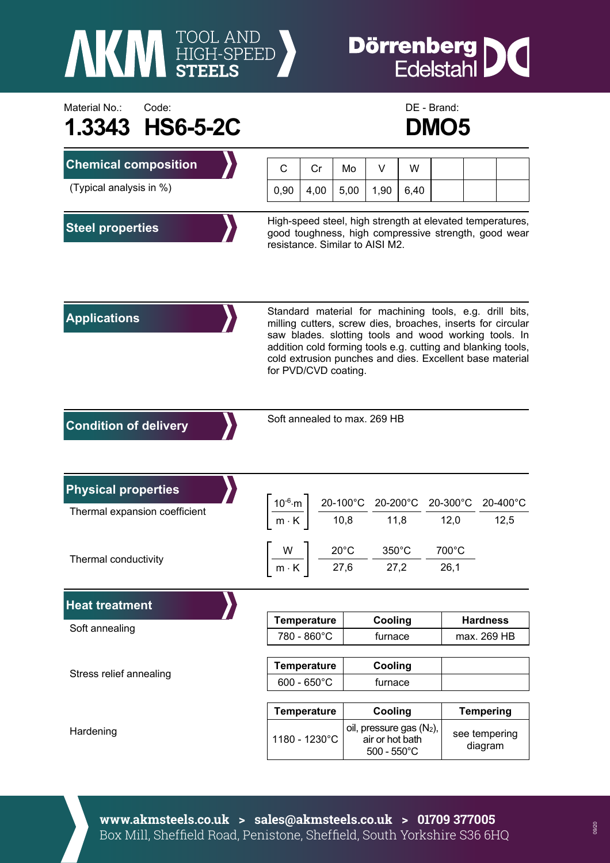

## **Dörrenberg**<br>Edelstahl IC



|                                                             |      | <b>ZIVIVJ</b>                                                                                                                                                                                                                                                                                                                       |      |                                                                     |      |               |                          |                  |  |
|-------------------------------------------------------------|------|-------------------------------------------------------------------------------------------------------------------------------------------------------------------------------------------------------------------------------------------------------------------------------------------------------------------------------------|------|---------------------------------------------------------------------|------|---------------|--------------------------|------------------|--|
| <b>Chemical composition</b>                                 | C    | Cr                                                                                                                                                                                                                                                                                                                                  | Mo   | V                                                                   | W    |               |                          |                  |  |
| (Typical analysis in %)                                     | 0,90 | 4,00                                                                                                                                                                                                                                                                                                                                | 5,00 | 1,90                                                                | 6,40 |               |                          |                  |  |
| <b>Steel properties</b>                                     |      | High-speed steel, high strength at elevated temperatures,<br>good toughness, high compressive strength, good wear<br>resistance. Similar to AISI M2.                                                                                                                                                                                |      |                                                                     |      |               |                          |                  |  |
| <b>Applications</b>                                         |      | Standard material for machining tools, e.g. drill bits,<br>milling cutters, screw dies, broaches, inserts for circular<br>saw blades. slotting tools and wood working tools. In<br>addition cold forming tools e.g. cutting and blanking tools,<br>cold extrusion punches and dies. Excellent base material<br>for PVD/CVD coating. |      |                                                                     |      |               |                          |                  |  |
| <b>Condition of delivery</b>                                |      | Soft annealed to max. 269 HB                                                                                                                                                                                                                                                                                                        |      |                                                                     |      |               |                          |                  |  |
| <b>Physical properties</b><br>Thermal expansion coefficient |      | $\left[\frac{10^{-6}\text{ m}}{\text{m} \cdot \text{K}}\right] \frac{\text{20-100}^{\circ}\text{C}}{\text{10,8}} \frac{\text{20-200}^{\circ}\text{C}}{\text{11,8}} \frac{\text{20-300}^{\circ}\text{C}}{\text{12,0}}$                                                                                                               |      |                                                                     |      |               |                          | 20-400°C<br>12,5 |  |
| Thermal conductivity                                        |      | $\left\lceil \frac{W}{m\cdot K} \right\rceil \frac{20^{\circ}C}{27,6} - \frac{350^{\circ}C}{27,2}$                                                                                                                                                                                                                                  |      |                                                                     |      | 700°C<br>26,1 |                          |                  |  |
| <b>Heat treatment</b>                                       |      |                                                                                                                                                                                                                                                                                                                                     |      |                                                                     |      |               |                          |                  |  |
| Soft annealing                                              |      | <b>Temperature</b>                                                                                                                                                                                                                                                                                                                  |      | Cooling                                                             |      |               | <b>Hardness</b>          |                  |  |
|                                                             |      | 780 - 860°C                                                                                                                                                                                                                                                                                                                         |      | furnace                                                             |      |               | max. 269 HB              |                  |  |
| Stress relief annealing                                     |      | <b>Temperature</b>                                                                                                                                                                                                                                                                                                                  |      | Cooling                                                             |      |               |                          |                  |  |
|                                                             |      | $600 - 650^{\circ}$ C                                                                                                                                                                                                                                                                                                               |      | furnace                                                             |      |               |                          |                  |  |
|                                                             |      | <b>Temperature</b>                                                                                                                                                                                                                                                                                                                  |      | Cooling                                                             |      |               | <b>Tempering</b>         |                  |  |
| Hardening                                                   |      | 1180 - 1230°C                                                                                                                                                                                                                                                                                                                       |      | oil, pressure gas (N2),<br>air or hot bath<br>$500 - 550^{\circ}$ C |      |               | see tempering<br>diagram |                  |  |

**www.akmsteels.co.uk > sales@akmsteels.co.uk > 01709 377005**  Box Mill, Sheffield Road, Penistone, Sheffield, South Yorkshire S36 6HQ